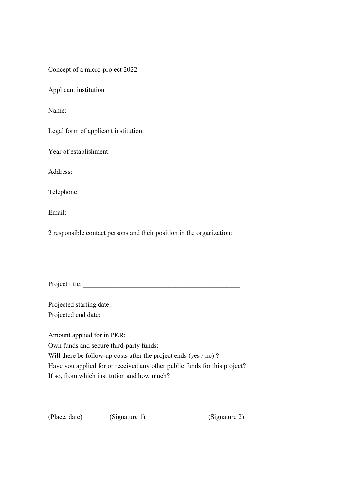Concept of a micro-project 2022

Applicant institution

Name:

Legal form of applicant institution:

Year of establishment:

Address:

Telephone:

Email:

2 responsible contact persons and their position in the organization:

Project title:

Projected starting date: Projected end date:

Amount applied for in PKR: Own funds and secure third-party funds: Will there be follow-up costs after the project ends (yes / no)? Have you applied for or received any other public funds for this project? If so, from which institution and how much?

(Place, date) (Signature 1) (Signature 2)